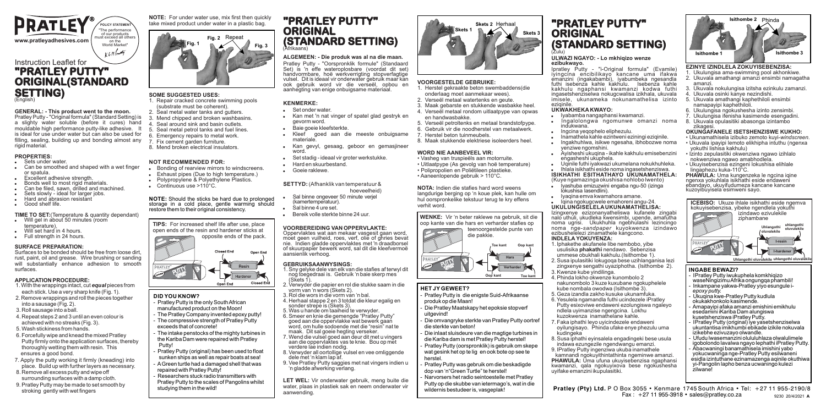

#### **GENERAL: - This product went to the moon.**

Pratley Putty - "Original formula" (Standard Setting) is a slighty water soluble (before it cures) hand mouldable high performance putty-like adhesive. It is ideal for use under water but can also be used for filling, sealing, building up and bonding almost any rigid material

#### **PROPERTIES:** . Sets under water

- ! Can be smoothed and shaped with a wet finger or spatula.
- Excellent adhesive strength.
- Bonds well to most rigid materials.
- Can be filed, sawn, drilled and machined.
- Sets slowly ideal for larger jobs.
- Hard and abrasion resistant
- Good shelf life.

#### **TIME TO SET:**(Temperature & quantity dependant)

- . Will gel in about 50 minutes (room temperature).
- Will set hard in 4 hours.
- . Full strength in 24 hours.

#### **SURFACE PREPARATION:**

Surfaces to be bonded should be free from loose dirt, rust, paint, oil and grease. Wire brushing or sanding will substantially enhance adhesion to smooth surfaces.

#### **APPLICATION PROCEDURE:**

- 1. With the wrappings intact, cut *equal* pieces from each stick. Use a very sharp knife (Fig. 1).
- 2. Remove wrappings and roll the pieces together into a sausage (Fig. 2).
- 3. Roll sausage into a ball.
- 4. Repeat steps 2 and 3 until an even colour is
- achieved with no streaks (Fig. 3). 5. Wash stickiness from hands.
- 
- 6. Forcefully wipe and knead the mixed Pratley Putty firmly onto the application surfaces, thereby thoroughly wetting them with resin. This ensures a good bond.
- 7. Apply the putty working it firmly (kneading) into place. Build up with further layers as necessary.
- 8. Remove all excess putty and wipe off surrounding surfaces with a damp cloth.
- 9. Pratley Putty may be made to set smooth by stroking gently with wet fingers

**NOTE:** For under water use, mix first then quickly take mixed product under water in a plastic bag.



#### **SOME SUGGESTED USES:**

- 1. Repair cracked concrete swimming pools (substrate must be coherent).
- 2. Seal metal water tanks and gutters. 3. Mend chipped and broken washbasins.
- 4. Seal around sink and basin outlets.
- 5. Seal metal petrol tanks and fuel lines.
- 6. Emergency repairs to metal work.
- 7. Fix cement garden furniture. 8. Mend broken electrical insulators.
- 

#### **NOT RECOMMENDED FOR:**

- . Bonding of rearview mirrors to windscreens.
- . Exhaust pipes (Due to high temperature.)
- . Polypropylene & Polyethylene Plastics.
- ! Continuous use >110°C.

**NOTE:** Should the sticks be hard due to prolonged storage in a cold place, gentle warming should restore them to their original consistency.

**TIPS:** For increased shelf life after use, place open ends of the resin and hardener sticks at opposite ends of the pack.



#### **DID YOU KNOW?**

 $\overline{a}$ 

- Pratley Putty is the only South African manufactured product on the Moon! - The Pratley Company invented epoxy putty! - The compressive strength of Pratley Putty exceeds that of concrete! - The intake penstocks of the mighty turbines in the Kariba Dam were repaired with Pratley Putty!
- Pratley Putty (original) has been used to float sunken ships as well as repair boats at sea! - AGreen turtle had a damaged shell that was repaired with Pratley Putty!
- Researchers stuck radio transmitters with Pratley Putty to the scales of Pangolins whilst studying them in the wild!

# **"PRATLEY PUTTY" ORIGINAL (STANDARD SETTING)**

#### **ALGEMEEN: - Die produk was al na die maan.**

Pratley Putty - "Oorspronklik formule" (Standaard Set) is 'n effe wateroplosbare (voordat dit set) handvormbare, hoë werkverrigting stopverfagtige vulsel. Dit is ideaal vir onderwater gebruik maar kan ook gebruik word vir die verseël, opbou en aanhegting van enige onbuigsame materiaal.

#### **KENMERKE:**

#### Set onder water

- ! Kan met 'n nat vinger of spatel glad gestryk en gevorm word.
- **Baie goeie kleefsterkte**<br>Kleef ooed aan d
- goed aan die meeste onbuigsame materiale. ! Kan gevyl, gesaag, geboor en gemasjineer
- word
- Set stadig ideaal vir groter werkstukke. ! Hard en skuurbestand.
- 
- ! Goeie raklewe.

#### **SETTYD:** (Afhanklik van temperatuur & hoeveelheid)

- Sal binne ongeveer 50 minute veriel (kamertemperatuur). ! Sal binne 4 ure set.
- 
- ! Bereik volle sterkte binne 24 uur.

#### **VOORBEREIDING VAN OPPERVLAKTE:**

Oppervlaktes wat aan mekaar vasgesit gaan word, moet geen vuilheid, roes, verf, olie of ghries bevat nie. Indien gladde oppervlaktes met 'n draadborsel of skuurpapier bewerk word, sal dit die kleefvermoë aansienlik verhoog.

#### **GEBRUIKSAANWYSINGS:**

- 1. Sny gelyke dele van elk van die stafies af terwyl dit nog toegedraai is. Gebruik 'n baie skerp mes (Skets 1).
- 2. Verwyder die papier en rol die stukke saam in die vorm van 'n wors (Skets 2).
- 3. Rol die wors in die vorm van 'n bal.
- 4. Herhaal stappe 2 en 3 totdat die kleur egalig en sonder strepe is (Skets 3). 5. Was u hande om taaiheid te verwyder.
- 6. Smeer en knie die gemengde "Pratley Putty" goed aan die oppervlakke wat bewerk gaan
- word, om hulle sodoende met die "resin" nat te maak. Dit sal goeie hegting verseker. 7. Wend die vulsel goed aan deur dit met u vingers
- aan die oppervlaktes vas te knie. Bou op met verdere lae indien nodig.
- 8. Verwyder all oortollige vulsel en vee omliggende dele met 'n klam lap af.
- 9. Vee Pratley Putty saggies met nat vingers indien u 'n gladde afwerking verlang.

**LET WEL:** Vir onderwater gebruik, meng buite die water, plaas in plastiek sak en neem onderwater vir aanwending.



#### **VOORGESTELDE GEBRUIKE:**

- 1. Herstel gekraakte beton swembaddens(die onderlaag moet aanmekaar wees).
- 2. Verseël metaal watertenks en geute. 3. Maak gebarste en stukkende wasbakke heel.
- 4. Verseël metaal rondom uitlaatpype van opwas
- en handwasbakke. 5. Verseël petroltenks en metaal brandstofpype.
- 6. Gebruik vir die noodherstel van metaalwerk. 7. Herstel beton tuinmeubels.
- 8. Maak stukkende elektriese isoleerders heel.

#### **WORD NIE AANBEVEEL VIR:**

• Vasheg van truspieëls aan motorruite. • Uitlaatpype (As gevolg van hoë temperature) • Polipropolien en Poliëtileen plastieke.

• Aaneenlopende gebruik > 110°C.

**NOTA:** Indien die stafies hard word weens langdurige berging op 'n koue plek, kan hulle om hul oorspronkelike tekstuur terug te kry effens verhit word.



#### **HET JY GEWEET?**

- Pratley Putty is die enigste Suid-Afrikaanse produk op die Maan!

- Die Pratley Maatskapy het epoksie stopverf uitgevind!

- Die omvangryke sterkte van Pratley Putty oortref die sterkte van beton!
- Die inlaat sluisdeure van die magtige turbines in die Kariba dam is met Pratley Putty herstel! Pratley Putty (oorspronklik) is gebruik om skepe wat gesink het op te lig en ook bote op see te herstel.
- Pratley Putty was gebruik om die beskadigde dop van 'n"Green Turtle" te herstel! - Narvorsers het radio seintoestelle met Pratley
- Putty op die skubbe van ietermago's, wat in die wildernis bestudeer is, vasgeplak! j

## **"PRATLEY PUTTY" ORIGINAL (STANDARD SETTING)**

Ipratley Putty - "i-Original formula" (Evamile) iyingcina encibilikayo kancane uma ifakwa emanzini (ingakabambi), iyabumbeka ngesandla futhi isebenza kahle kakhulu. Isebenza kahle kakhulu ngaphansi kwamanzi kodwa futhi ingasetshenziselwa nokugcwalisa izikhala, ukuvala imisele, ukunameka nokunamathelisa izinto

Ingalolongwa ngomunwe omanzi noma

! Ayisheshi ukuqina - ikahle kakhulu emisebenzini

! Uqinile futhi iyakwazi ukumelana nokukhuhleka. ! Ihlala isikhathi eside noma ingasetshenziswa. **ISIKHATHI ESITHATHAYO UKUNAMATHELA:**  (Kuye ngamazinga okushisa nohlobo lwento) ! Iyashuba emizuzwini engaba ngu-50 (izinga

**ULWAZI NGAYO: - Lo mkhiqizo wenze** 

**ezibukwayo.**

eziqinile.

**UKWAKHEKAKWAYO:** ! Iyabamba nangaphansi kwamanzi.

yenziwe ngomshini.

lokushisa lasendlini). . Iyaqina emva kwamahora amane. . Igina ngokugcwele emahoreni angu-24. **UKULUNGISELELAUKUNAMATHELISA:** Izingxenye ezizonanyatheliswa kufanele zingabi nalo uthuli, ukudleka kwensimbi, upende, amafutha noma ugrisi. Ukukhuhla ngebhulashi lezincingo noma nge-*sandpaper* kuyokwenza izindawo ezibushelelezi zinamathele kangcono. **INDLELA YOKUYENZA:**

3. Kwenze kube yindilinga. 4. Phinda lokho okwenze kunombolo 2 nakunombolo 3 kuze kuxubane ngokuphelele kube nombala owodwa (Isithombe 3). 5. Geza izandla zakho kusuke ukunamfuka. 6. Yesulela ngamandla futhi ucindezele iPratley Putty esixoviwe endaweni ezolungiswa ngaleyo ndlela uyimanzise ngengcina. Lokhu kuzokwenza inamathelane kahle. 7. Faka iphathi leyo uyicindezele endaweni oyilungisayo. Phinda ufake enye phezulu uma

uyifake emanzini ikupulasitiki.

kudingeka

1. Iphakethe akufanele libe nembobo, yibe usulisika **phakathi** nendawo. Sebenzisa ummese obukhali kakhulu.(Isithombe 1). 2. Susa ipulasitiki lokugoqa bese uzihlanganisa lezi zingxenye sengathi uyaziphotha. (Isithombe 2).

8. Susa iphathi eyinsalela engadingeki bese usula indawa ezungezile ngendwangu emanzi. 9. IPratley Putty ingenziwa ukuba inamathele kamnandi ngokuyithintathinta ngeminwe amanzi. **PHAWULA:** Uma ufuna ukuyisebenzisa ngaphansi kwamanzi, qala ngokuyixova bese ngokushesha

engasheshi ukuphela.

! Ingcina yeqophelo eliphezulu. ! Inamathela kahle ezintweni eziningi eziqinile. ! Ingakhuhlwa, isikwe ngesaha, ibhobozwe noma

indukwana.

**Pratley (Pty) Ltd.** P O Box 3055 • Kenmare 1745 South Africa • Tel: +27 11 955-2190/8 Fax : +27 11 955-3918 • sales@pratley.co.za

PUTY<sup></sup> SETTING

**INGABE BEWAZI?**

 *epoxy putty.*

zilwane!

 $\overline{\mathbf{V}}$ 

- IPratley Putty iwukuphela komkhiqizo waseNingizimu Afrika ongungqa phambili! - Inkampane yakwa-Pratley yiyo esungule i-

- Ukuqina kwe-Pratley Putty kudlula okukakhonkolo kasimende. - Amapayipi afaka amanzi emishini emikhulu esedamini iKariba Dam alungiswa kusetshenziswa iPratley Putty. - IPratley Putty (original) iye yasetshenziselwa ukuntantisa imikhumbi ebikade izikile nokuvala

izikebhe ezivuzayo olwandle.

- Ufudu lwasemanzini olululuhlaza olwalulimele igobolondo lavalwa ngayo lephathi iPratley Putty. - Abacwaningi banamathisela imishini yabo yokucwaninga nge-Pratley Putty esilwaneni esidla izintuthane ezinamazenga aqinile okuthiwa yi-Pangolin lapho benza ucwaningo kulezi

**ICEBISO:** Ukuze ihlale isikhathi eside ngemva kokuyisebenzisa, yibeke ngendlela yokuthi izindawo ezivulekile ziphambane

**Isithombe 2** Phinda

**EZINYE IZINDLELA ZOKUYISEBENZISA:** 1. Ukulungisa ama-swimming pool akhonkiwe. 2. Ukuvala amathangi amanzi ensimbi namagatha

3. Ukuvala nokulungisa izitsha ezinkulu zamanzi. 4. Ukuvala osinki kanye nezindishi. 5. Ukuvala amathangi kaphethiloli ensimbi namapayipi kaphethiloli. 6. Ukulungisa ngokushesha izinto zensimbi. 7. Ukulungisa ifenisha kasimende esengadini. 8. Ukuvala opulasitiki abasonga izintambo

**OKUNGAFANELE ISETSHENZISWE KUKHO:** • Ukunamathisela izibuko zemoto kuyi-*windscreen*. • Ukuvala ipayipi lemoto elikhipha intuthu (ngenxa

• Izinto zepulasitiki okwenziwa ngawo izihlalo nokwenziwa ngawo amabhodlela. • Ukuyisebenzisa ezingeni lokushisa elihlale

**PHAWULA:** Uma kungenzeka le ngcina igine ngenxa yokuhlala isikhathi eside endaweni ebandayo, ukuyifudumeza kancane kancane kuzoyibuyisela esimweni sayo.

*HIGH STRENGTH*

**Isithombe 1**

amanzi.

zikagesi

yokuthi lishisa kakhulu)

lingaphezu kuka-110°C.

9230 20/4/2021 **A**

**uhlangothi oluvulekile Uhlangothi oluvalekile** 

**Isithombe 3**

**Uhlangothi oluvulekile uhlangothi oluvalekile I-resin**

**I-hardener**